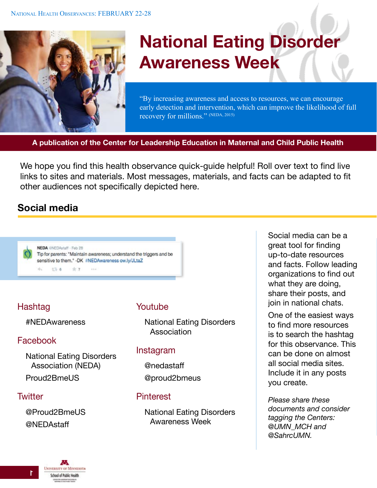

# **National Eating Disorder Awareness Week**

"By increasing awareness and access to resources, we can encourage early detection and intervention, which can improve the likelihood of full recovery for millions." (NEDA, 2015)

**A publication of the Center for Leadership Education in Maternal and Child Public Health**

We hope you find this health observance quick-guide helpful! Roll over text to find live links to sites and materials. Most messages, materials, and facts can be adapted to fit other audiences not specifically depicted here.

## **Social media**



## Hashtag

#NEDAwareness

## Facebook

[National Eating Disorders](https://www.facebook.com/NationalEatingDisordersAssociation)  [Association \(NEDA\)](https://www.facebook.com/NationalEatingDisordersAssociation) [Proud2BmeUS](https://www.facebook.com/Proud2BmeUSA)

## **Twitter**

@Proud2BmeUS @NEDAstaff

#### Youtube

[National Eating Disorders](https://www.youtube.com/user/NEDANETWORK)  [Association](https://www.youtube.com/user/NEDANETWORK)

#### Instagram

@nedastaff @proud2bmeus

## **Pinterest**

[National Eating Disorders](https://www.pinterest.com/wellworks/national-eating-disorder-awareness-week/)  [Awareness Week](https://www.pinterest.com/wellworks/national-eating-disorder-awareness-week/)

Social media can be a great tool for finding up-to-date resources and facts. Follow leading organizations to find out what they are doing, share their posts, and join in national chats.

One of the easiest ways to find more resources is to search the hashtag for this observance. This can be done on almost all social media sites. Include it in any posts you create.

*Please share these documents and consider tagging the Centers: @UMN\_MCH and @SahrcUMN.*